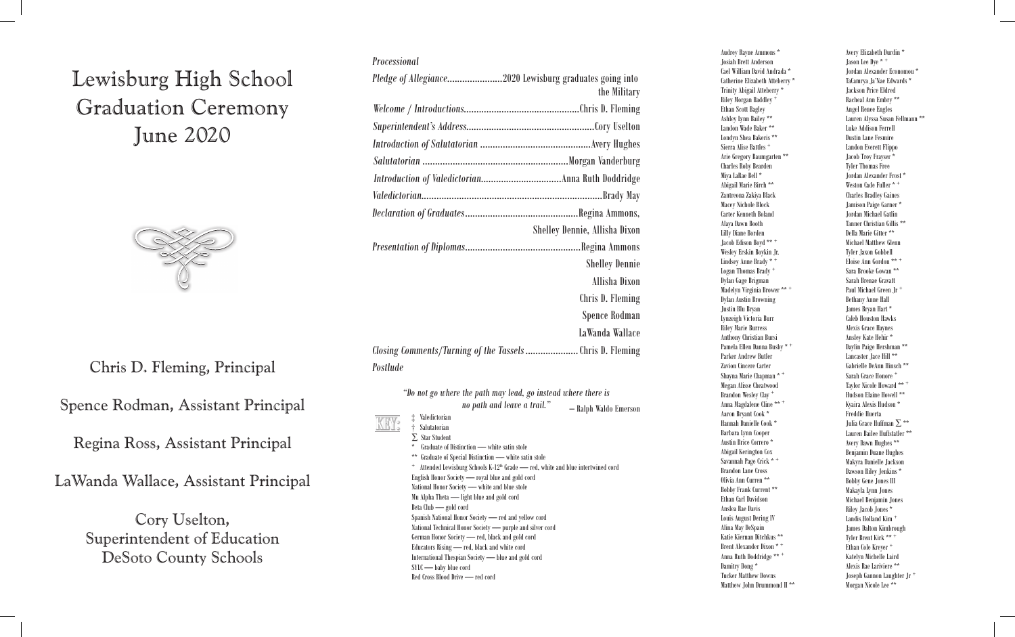## Lewisburg High School Graduation Ceremony June 2020  $\begin{array}{cc} \cdot & \cdot & \cdot & \cdot \end{array}$  $\text{C}$   $\text{C}$   $\text{C}$   $\text{C}$  $\frac{1}{2}$



### Chris D. Fleming, Principal Chris Fleming, Principal

Spence Rodman, Assistant Principal

Regina Ross, Assistant Principal

LaWanda Wallace, Assistant Principal

Cory Uselton, Superintendent of Education DeSoto County Schools

| Processional                                                         |                               |
|----------------------------------------------------------------------|-------------------------------|
|                                                                      | the Military                  |
|                                                                      |                               |
|                                                                      |                               |
|                                                                      |                               |
|                                                                      |                               |
|                                                                      |                               |
|                                                                      |                               |
|                                                                      |                               |
|                                                                      | Shelley Dennie, Allisha Dixon |
|                                                                      |                               |
|                                                                      | <b>Shelley Dennie</b>         |
|                                                                      | Allisha Dixon                 |
|                                                                      | Chris D. Fleming              |
|                                                                      | Spence Rodman                 |
|                                                                      | LaWanda Wallace               |
| Closing Comments/Turning of the Tassels Chris D. Fleming<br>Postlude |                               |
|                                                                      |                               |

| no path and leave a trail."                                                                      | - Ralph Waldo Emerson |
|--------------------------------------------------------------------------------------------------|-----------------------|
| Valedictorian<br>⇟                                                                               |                       |
| Salutatorian                                                                                     |                       |
| $\Sigma$ Star Student                                                                            |                       |
| ÷<br>Graduate of Distinction - white satin stole                                                 |                       |
| Graduate of Special Distinction - white satin stole<br>**                                        |                       |
| Attended Lewisburg Schools K-12 <sup>th</sup> Grade - red, white and blue intertwined cord<br>τ. |                       |
| English Honor Society - royal blue and gold cord                                                 |                       |
| National Honor Society - white and blue stole                                                    |                       |
| Mu Alpha Theta — light blue and gold cord                                                        |                       |
| Beta Club — gold cord                                                                            |                       |
| Spanish National Honor Society — red and yellow cord                                             |                       |
| National Technical Honor Society — purple and silver cord                                        |                       |
| German Honor Society — red, black and gold cord                                                  |                       |
| Educators Rising - red, black and white cord                                                     |                       |
| International Thespian Society — blue and gold cord                                              |                       |
| SYLC - baby blue cord                                                                            |                       |
| Red Cross Blood Drive — red cord                                                                 |                       |

Matthew O'Neal Allen Destiny Marie Gardner Josiah Brett Anderson Aqmen Sefu Amen Brianna Rayann Gesler \* Mohammad Abdul Karim Alrahimi Jessica Leigh Geraldson \* Jordan Alexander Economou \* Almen Britannia Rayann Gesler \* Sierra Americann Gesler \* Anna Kate Goldman Gesler \* Noelle Anna Kate Goldman \* Noelle Anna Kate Goldman \* Noelle Anna Kate Goldman \* Noelle Anna Kate Goldman \* Noelle Anna Kate Goldman \* No Gametine Enzabell Atteberry \* Trinity Abigail Atteberry \* Trinity Abigail Atteberry \* Trinity Abigail Atteberry \* Trinity Abigail Atteberry \* Trinity Abigail Atteberry \* Trinity Abigail Atteberry \* Trinity Abigail Atteberr n anders a structure of the Savannah Mary-Catherine Glenn and the Savannah Mary-Catherine Glenn and the Savannah<br>Racheal Ann Embry \*\* na Kategoria and Kategoria and Kategoria and Kategoria and Kategoria and Kategoria and Kategoria and Kategoria<br>Angel Renee Engles Carissa Jewell Andreoli \* Ashleigh Denise Gray Lauren Alyssa Susan Fellmann \*\* Katie Grace Anthony Savannah Ruth Green \*\* Landon Wade Baker \*\* Hunter Paul Barringer Gabriel Nichole Gross \* Ryan Cody Archer Alyssa Claire Greer Londyn Shea Bakeris \*\* Autumn Lorraine Beam \* Samuel Dylan Gross \* Amanda Marie Aureli Hannah Faith Greganti \* Landon Everett Flippo Mackenzi Taylor Bennett \* Alexander Stephen Gullett \* Hunter Paul Barringer Gabriel Nichole Gross \* Arie Gregory Baumgarten \*\* Jared Scott Bolden Joseph Tyler Haley Autumn Lorraine Beam \* Samuel Dylan Gross \* Charles Roby Bearden Jeremiah Emanuel Bowen Trevor Ray Hall Miya LaRae Bell \* Alexander Frost \* Alexander Stephen Guldett \* Alexander Stephen Gullett \* Alexander Stephen G Jared Scott Bolden Joseph Tyler Haley Weston Cade Fuller \* + Jeremiah Emanuel Bowen Trevor Ray Hall Charles Bradley Gaines matric Bradison Brooke Brooke Brooke Bradshaw Anna Claires Bradison Daniel Brooke Brooke Brooke Brooke Brooke B<br>Brooke Brooke Brock Brooke Brooke Brooke Brooke Brooke Brooke Brooke Brooke Brooke Brooke Brooke Brooke Brooke Hailey Elizabeth Brady Dennis Clayton Hannah, Jr. Carter Kenneth Boland Grayson Randall Brower Kaitlin Obion Hill Logan Ryan Broadway Stanley David Harris, III Tanner Christian Gillis \*\* Jamie Elisabeth Brown Toni Nicole Hindmon \*\* Brakston Daniel Brock \* Shelby Elizabeth Hendrix \* Della Marie Gitter \*\* Enry Diane Borden<br>Jacob Edison Boyd \*\* + The Michael Matthew Glenn Jamie Elisabeth Brown Toni Nicole Hindmon \*\* Wesley Erskin Boykin Jr. Ashlan NicoleBurns \* Braden Lee Howard \* Joseph Lee Harrison Brown Erica Lynn Hodge Lindsey Anne Brady \* + Kyler StephenCampbell John Marion Hudson, IV Enoise Ann cortoon<br>
Logan Thomas Brady + The Sara Brooke Gowan \*\* Ashlan NicoleBurns \* Braden Lee Howard \* Sarah Brenae Gravatt bytan oage briginan<br>Madelyn Virginia Brower \*\* + Paul Michael Green Jr Kara Shey Carmichael Mallorie Ann Humble \* Dylan Austin Browning Kodee Max Clair Mackenzie Tailor Johnson \* alexandria Lenae' Carroll School of Bendary Anne hand<br>Justin Blu Bryan Hart \* Caitlynn Scarlett Casey \*\* Jordan Taylor Jackson Lynzeigh Victoria Burr NeFitisha Jessica Clarette Piper Jennae Johnson \*Jaron Christopher Cole Brittany Lee Jones \* Preston Taylor Chief Taylor Chief Taylor Chief Taylor & Taylor Chief Taylor Chief Taylor Chief Taylor Chief Taylor Shakes # 2012 Anthony Christian Bursi<br>Anthony Christian Bursi **Mackenzie Tailor Anthony Christian Bursi** Androny Carristan Darrel<br>Pamela Ellen Danna Busby \* + Daylin Paige Hershman \*\* Jaron Christopher Cole Brittany Lee Jones \* Lancaster Jace Hill \*\* Matthew Allen Cole Carter Caleb Daniel Caleb DeAnn Hinsch \*\* Hannah Elizabeth Cox Jacob Alan Keller<br>
Shayna Marie Chapman \* + Sarah Grace Honore + Clayton Patrick Creager \* Damian Darrell Ketchum Taylor Nicole Howard \*\* + Iaylor Nicole Howard<br>Brandon Wesley Clay \* Fludson Elaine Howell \*\* na music Dancy Cay<br>Anna Magdalene Cline \*\* + The United States Review Ryaira Alexis Hudson \* Harley Elizabeth Darby \* Katelynn Rose Lacker \*\* Aaron Bryant Cook \* Claire Kelly Downen Talyn Brooke Laufenberg \*\* Maron bryant cook and her cook and her reduced the Huffman ∑ \*\* naman Banche Cook<br>Barbara Lynn Cooper Lauren Bailee Huffstatler \*\* Particular Dance Tunislatic Dance Indicated Particular Dance Indicated Particular Avery Dawn Hughes \*\* Claire Kelly Downen Talyn Brooke Laufenberg \*\* Abigail Kerington Cox Caitlin Marie Edwards Penny Gail Longoria Grayson Code and the Dengannin Duane rugues<br>Savannah Page Crick \* \* Makyra Danielle Jackson Justin Wayne Brandon Lane Cross<br>
Brandon Lane Cross<br>
Dawson Riley Jenkins \* Sawson mary Jenkins<br>
Olivia Ann Curren \*\* Shobby Gene Jones III Bobby Gail Caitlin Marie Edwards Penny Gail Longoria<br>
Bobby Frank Current \*\* Makayla Lynn Jones William Hunter Eggers Samantha Aleese Lunamand \*\* Michael Benjamin Jones Kelsey Renae Fox Michael Todd McFadden, Jr. Elinan Carl Barnsson<br>Anslea Rae Davis Freeman Marshall (Riley Jacob Jones \* hannah Elizabeth Ferry Actor Christopher Massey and Michael Fuller Massey Jones<br>Louis August Dering IV andrew Massey Landis Holland Kim nikole Nikole Normick \* Handis Hondard Kimbrough<br>
James Dalton Kimbrough Adam Lee Fiernan Ditchkus \*\*<br>Katie Kiernan Ditchkus \*\*<br>Tyler Brent Kirk \*\* + Renat Alexander Dixon \* +  $\frac{1}{2}$  Ethan Cole Kreyer + Anna Ruth Doddridge \*\* + The Main Cole Ricycle Anna Ruth Doddridge \*\* + The Main Cole Ricycle Anna Ruth Doddridge \*\* + Francisco Fuller and Bookings<br>Damitry Dong \* Alexis Rae Lariviere \*\* Cael William David Andrada \* Garrett WayneAmsden \* Mason Russell Givens Riley Morgan Baddley <sup>+</sup> Racheal Ann Embry Ethan Scott Bagley Angel Renee E Ashley Lynn Bailey \*\* Amanda Marie Aureli Hannah Faith Greganti \* Sierra Alise Battles + Miya LaRae Bell \* Jordan Alexande Abigail Marie Birch \*\*<br>Hailey Elizabeth Bradley Elizabeth Bradley Gharles Bradley Gaines Zantreona Zakiya Black Macey Nichole Block Alaya Dawn Booth Lilly Diane Borden Joseph Lee Harrison Brown Erica Lynn Hodge Logan Thomas Brady + Sara Brooke Gowan \*\* Dylan Gage Brigman Sarah Brenae Grav Justin Blu Bryan Parker Andrew Butler **Ian Thomas Cullagh Taylor Lancaster Jace** Zavion Cincere Carter **Cartes Cartes Cartes Cartes Cartes Cartes** Gabrielle DeAnn Hir Megan Alisse Cheatwood Taylor Nicole Ho Brandon Wesley Clay + The Hudson Elaine Ho Hannah Danielle Cook \* Grayson LeighDunning \*\* Cody Austin Layne \*\* Barbara Lynn Cooper Justin Wayne Early Kenyada Kristina Lee Austin Brice Correro \* Savannah Marie Eckhoff \*\* Sydney Kay Lester \* Savannah Page Crick \* <sup>+</sup> Makyra Danielle J Brandon Lane Cross Ethan Carl Davidson Anslea Rae Davis Alina May DeSpain Damitry Dong \* Tucker Matthew Downs Matthew John Drummond II \*\* Olivia Ann Curren \*\* Bobby Gene Jones III Daniel Lauren Anderson \* Savannah Mary-Catherine Glenn \* Savannah Mary-Catherine Glenn \* Savannah Mary-Catherine Glenn \* Savannah Mary-Catherine Glenn \* Savannah Mary-Catherine Glenn \* Savannah Mary-Catherine Glenn \* Savan Kara Shey Anne Brady ann Humble Ann Humble Ann Humble Ann Humble Ann Humble Ann Humble ann Humble Ann Humble Ann Humble ann Humble Ann Humble Ann Humble Ann Humble Ann Humble Ann Humble Ann Humble Ann Humble Ann Humble Ann Abigan Kerington tox<br>Benjamin Duane Hughes

Cary Richard Allen \*\* Christopher Wayne Gardner Avery Elizabeth Durdin \* Audrey Rayne Ammons \* Mohammad Abdul Karim Alrahimi Jessica Leigh Geraldson \* Jason Lee Dye \* + TaCamrya Ja'Nae Edwards \* Jackson Price Eldred Luke Addison Ferrell Dustin Lane Fesmire Jacob Troy Frayser \* Tyler Thomas Free Jordan Michael Gatlin Michael Matthew Glenn Tyler Jaxon Gobbell Eloise Ann Gordon \*\* + Paul Michael Green Jr + Bethany Anne Hall Caleb Houston Hawks Alexis Grace Haynes Ansley Kate Hehir \* Daylin Paige Hershman \*\* Sarah Grace Honore Kyaira Alexis Hudson \* Freddie Huerta Benjamin Duane Hughes Makayla Lynn Jones Landis Holland Kim Tyler Brent Kirk \*\* + Ethan Cole Kreyer + Katelyn Michelle Laird Joseph Gannon Laughter Jr + Morgan Nicole Lee \*\*